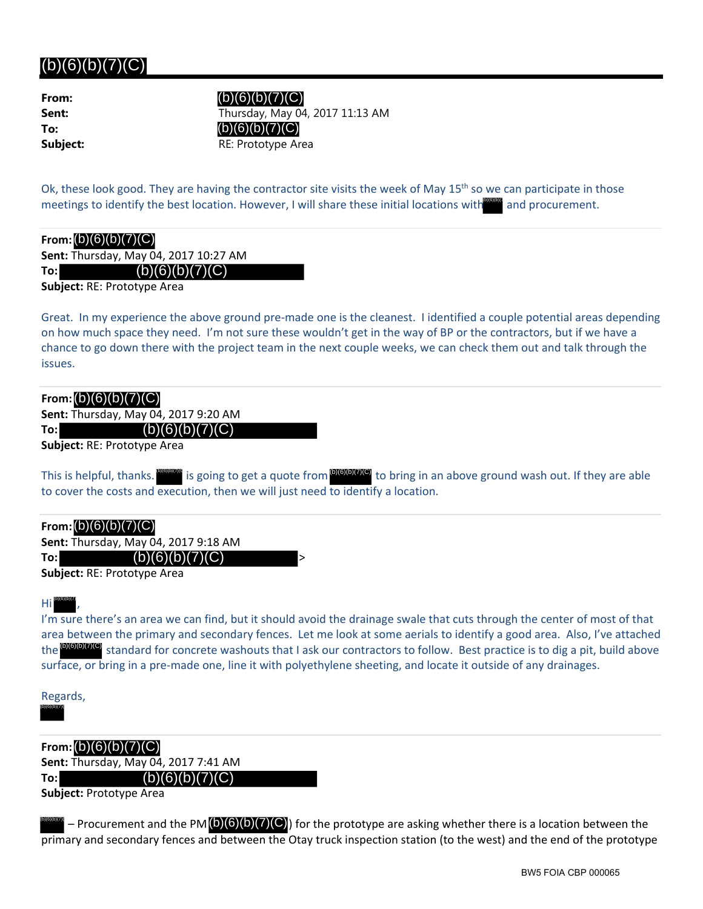## $(b)(6)(b)(7)(C)$

| From:    |
|----------|
| Sent:    |
| To:      |
| Subject: |

**Sent:** Thursday, May 04, 2017 11:13 AM **RE: Prototype Area**  $(b)(6)(b)(7)(C)$ (b)(6)(b)(7)(C)

Ok, these look good. They are having the contractor site visits the week of May 15<sup>th</sup> so we can participate in those meetings to identify the best location. However, I will share these initial locations with and procurement.

| From: $(b)(6)(b)(7)(C)$ |  |  |  |  |  |
|-------------------------|--|--|--|--|--|
|-------------------------|--|--|--|--|--|

**Sent:** Thursday, May 04, 2017 10:27 AM

**To:**  $(b)(6)(b)(7)(C)$ 

**Subject:** RE: Prototype Area

Great. In my experience the above ground pre‐made one is the cleanest. I identified a couple potential areas depending on how much space they need. I'm not sure these wouldn't get in the way of BP or the contractors, but if we have a chance to go down there with the project team in the next couple weeks, we can check them out and talk through the issues.

| From: $(b)(6)(b)(7)(C)$ |            |
|-------------------------|------------|
|                         | 6.0170.761 |

**Sent:** Thursday, May 04, 2017 9:20 AM **To:**  $(b)(6)(b)(7)(C)$ 

**Subject:** RE: Prototype Area

This is helpful, thanks. **Destity is going to get a quote from <sup>(b)(6)(b)(7)(C)</sup> to bring in an above ground wash out. If they are able** to cover the costs and execution, then we will just need to identify a location.

| From: $(b)(6)(b)(7)(C)$                     |  |
|---------------------------------------------|--|
| <b>Sent: Thursday, May 04, 2017 9:18 AM</b> |  |
| (b)(6)(b)(7)(C)<br>To:l                     |  |

**Subject:** RE: Prototype Area

Hi , (b)(6)(b)(7)

I'm sure there's an area we can find, but it should avoid the drainage swale that cuts through the center of most of that area between the primary and secondary fences. Let me look at some aerials to identify a good area. Also, I've attached the **DOUTC** standard for concrete washouts that I ask our contractors to follow. Best practice is to dig a pit, build above surface, or bring in a pre‐made one, line it with polyethylene sheeting, and locate it outside of any drainages.

Regards, (b)(6)(b)(7)(

**From:** (b)(6)(b)(7)(C) **Sent:** Thursday, May 04, 2017 7:41 AM **To:**  $(b)(6)(b)(7)(C)$ 

**Subject:** Prototype Area

 $\frac{\omega_0\omega_0\omega_1}{\omega_0}$  – Procurement and the PM (b)(6)(b)(7)(C)) for the prototype are asking whether there is a location between the primary and secondary fences and between the Otay truck inspection station (to the west) and the end of the prototype